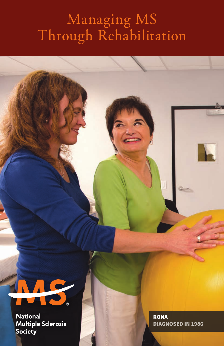# Managing MS Through Rehabilitation



**National Multiple Sclerosis** Society

RONA DIAGNOSED IN 1986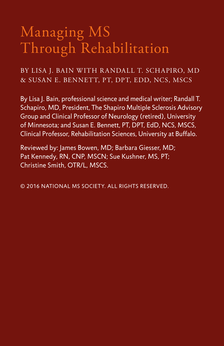# Managing MS Through Rehabilitation

#### BY LISA J. BAIN WITH R ANDALL T. SCHAPIRO, MD & SUSAN E. BENNETT, PT, DPT, EDD, NCS, MSCS

By Lisa J. Bain, professional science and medical writer; Randall T. Schapiro, MD, President, The Shapiro Multiple Sclerosis Advisory Group and Clinical Professor of Neurology (retired), University of Minnesota; and Susan E. Bennett, PT, DPT, EdD, NCS, MSCS, Clinical Professor, Rehabilitation Sciences, University at Buffalo.

Reviewed by: James Bowen, MD; Barbara Giesser, MD; Pat Kennedy, RN, CNP, MSCN; Sue Kushner, MS, PT; Christine Smith, OTR/L, MSCS.

© 2016 NATIONAL MS SOCIETY. ALL RIGHTS RESERVED.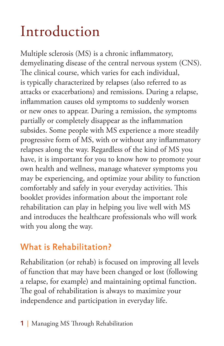# Introduction

Multiple sclerosis (MS) is a chronic inflammatory, demyelinating disease of the central nervous system (CNS). The clinical course, which varies for each individual, is typically characterized by relapses (also referred to as attacks or exacerbations) and remissions. During a relapse, inflammation causes old symptoms to suddenly worsen or new ones to appear. During a remission, the symptoms partially or completely disappear as the inflammation subsides. Some people with MS experience a more steadily progressive form of MS, with or without any inflammatory relapses along the way. Regardless of the kind of MS you have, it is important for you to know how to promote your own health and wellness, manage whatever symptoms you may be experiencing, and optimize your ability to function comfortably and safely in your everyday activities. This booklet provides information about the important role rehabilitation can play in helping you live well with MS and introduces the healthcare professionals who will work with you along the way.

## What is Rehabilitation?

Rehabilitation (or rehab) is focused on improving all levels of function that may have been changed or lost (following a relapse, for example) and maintaining optimal function. The goal of rehabilitation is always to maximize your independence and participation in everyday life.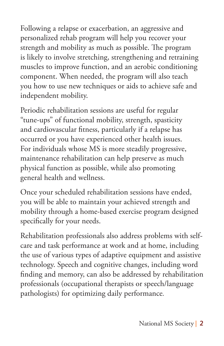Following a relapse or exacerbation, an aggressive and personalized rehab program will help you recover your strength and mobility as much as possible. The program is likely to involve stretching, strengthening and retraining muscles to improve function, and an aerobic conditioning component. When needed, the program will also teach you how to use new techniques or aids to achieve safe and independent mobility.

Periodic rehabilitation sessions are useful for regular "tune-ups" of functional mobility, strength, spasticity and cardiovascular fitness, particularly if a relapse has occurred or you have experienced other health issues. For individuals whose MS is more steadily progressive, maintenance rehabilitation can help preserve as much physical function as possible, while also promoting general health and wellness.

Once your scheduled rehabilitation sessions have ended, you will be able to maintain your achieved strength and mobility through a home-based exercise program designed specifically for your needs.

Rehabilitation professionals also address problems with selfcare and task performance at work and at home, including the use of various types of adaptive equipment and assistive technology. Speech and cognitive changes, including word finding and memory, can also be addressed by rehabilitation professionals (occupational therapists or speech/language pathologists) for optimizing daily performance.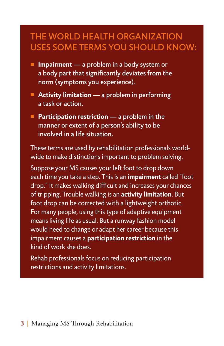## THE WORLD HEALTH ORGANIZATION USES SOME TERMS YOU SHOULD KNOW:

- Impairment a problem in a body system or a body part that significantly deviates from the norm (symptoms you experience).
- Activity limitation a problem in performing a task or action.
- Participation restriction  **a problem in the**  manner or extent of a person's ability to be involved in a life situation.

These terms are used by rehabilitation professionals worldwide to make distinctions important to problem solving.

Suppose your MS causes your left foot to drop down each time you take a step. This is an **impairment** called "foot drop." It makes walking difficult and increases your chances of tripping. Trouble walking is an **activity limitation**. But foot drop can be corrected with a lightweight orthotic. For many people, using this type of adaptive equipment means living life as usual. But a runway fashion model would need to change or adapt her career because this impairment causes a **participation restriction** in the kind of work she does.

Rehab professionals focus on reducing participation restrictions and activity limitations.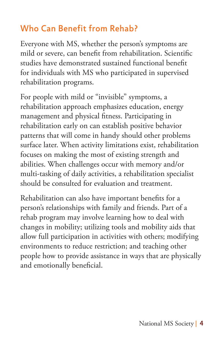## Who Can Benefit from Rehab?

Everyone with MS, whether the person's symptoms are mild or severe, can benefit from rehabilitation. Scientific studies have demonstrated sustained functional benefit for individuals with MS who participated in supervised rehabilitation programs.

For people with mild or "invisible" symptoms, a rehabilitation approach emphasizes education, energy management and physical fitness. Participating in rehabilitation early on can establish positive behavior patterns that will come in handy should other problems surface later. When activity limitations exist, rehabilitation focuses on making the most of existing strength and abilities. When challenges occur with memory and/or multi-tasking of daily activities, a rehabilitation specialist should be consulted for evaluation and treatment.

Rehabilitation can also have important benefits for a person's relationships with family and friends. Part of a rehab program may involve learning how to deal with changes in mobility; utilizing tools and mobility aids that allow full participation in activities with others; modifying environments to reduce restriction; and teaching other people how to provide assistance in ways that are physically and emotionally beneficial.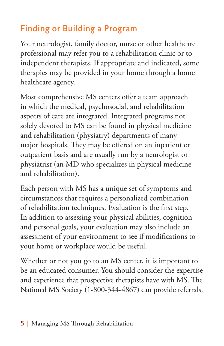# Finding or Building a Program

Your neurologist, family doctor, nurse or other healthcare professional may refer you to a rehabilitation clinic or to independent therapists. If appropriate and indicated, some therapies may be provided in your home through a home healthcare agency.

Most comprehensive MS centers offer a team approach in which the medical, psychosocial, and rehabilitation aspects of care are integrated. Integrated programs not solely devoted to MS can be found in physical medicine and rehabilitation (physiatry) departments of many major hospitals. They may be offered on an inpatient or outpatient basis and are usually run by a neurologist or physiatrist (an MD who specializes in physical medicine and rehabilitation).

Each person with MS has a unique set of symptoms and circumstances that requires a personalized combination of rehabilitation techniques. Evaluation is the first step. In addition to assessing your physical abilities, cognition and personal goals, your evaluation may also include an assessment of your environment to see if modifications to your home or workplace would be useful.

Whether or not you go to an MS center, it is important to be an educated consumer. You should consider the expertise and experience that prospective therapists have with MS. The National MS Society (1-800-344-4867) can provide referrals.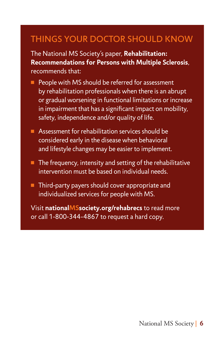## THINGS YOUR DOCTOR SHOULD KNOW

The National MS Society's paper, **Rehabilitation: Recommendations for Persons with Multiple Sclerosis**, recommends that:

- People with MS should be referred for assessment by rehabilitation professionals when there is an abrupt or gradual worsening in functional limitations or increase in impairment that has a significant impact on mobility, safety, independence and/or quality of life.
- $\blacksquare$  Assessment for rehabilitation services should be considered early in the disease when behavioral and lifestyle changes may be easier to implement.
- $\blacksquare$  The frequency, intensity and setting of the rehabilitative intervention must be based on individual needs.
- $\blacksquare$  Third-party payers should cover appropriate and individualized services for people with MS.

Visit **nationalMSsociety.org/rehabrecs** to read more or call 1-800-344-4867 to request a hard copy.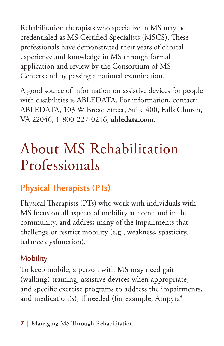Rehabilitation therapists who specialize in MS may be credentialed as MS Certified Specialists (MSCS). These professionals have demonstrated their years of clinical experience and knowledge in MS through formal application and review by the Consortium of MS Centers and by passing a national examination.

A good source of information on assistive devices for people with disabilities is ABLEDATA. For information, contact: ABLEDATA, 103 W Broad Street, Suite 400, Falls Church, VA 22046, 1-800-227-0216, **abledata.com**.

# About MS Rehabilitation Professionals

# Physical Therapists (PTs)

Physical Therapists (PTs) who work with individuals with MS focus on all aspects of mobility at home and in the community, and address many of the impairments that challenge or restrict mobility (e.g., weakness, spasticity, balance dysfunction).

#### **Mobility**

To keep mobile, a person with MS may need gait (walking) training, assistive devices when appropriate, and specific exercise programs to address the impairments, and medication(s), if needed (for example, Ampyra®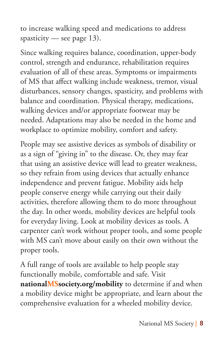to increase walking speed and medications to address spasticity — see page  $13$ ).

Since walking requires balance, coordination, upper-body control, strength and endurance, rehabilitation requires evaluation of all of these areas. Symptoms or impairments of MS that affect walking include weakness, tremor, visual disturbances, sensory changes, spasticity, and problems with balance and coordination. Physical therapy, medications, walking devices and/or appropriate footwear may be needed. Adaptations may also be needed in the home and workplace to optimize mobility, comfort and safety.

People may see assistive devices as symbols of disability or as a sign of "giving in" to the disease. Or, they may fear that using an assistive device will lead to greater weakness, so they refrain from using devices that actually enhance independence and prevent fatigue. Mobility aids help people conserve energy while carrying out their daily activities, therefore allowing them to do more throughout the day. In other words, mobility devices are helpful tools for everyday living. Look at mobility devices as tools. A carpenter can't work without proper tools, and some people with MS can't move about easily on their own without the proper tools.

A full range of tools are available to help people stay functionally mobile, comfortable and safe. Visit **nationalMSsociety.org/mobility** to determine if and when a mobility device might be appropriate, and learn about the comprehensive evaluation for a wheeled mobility device.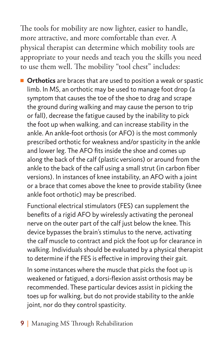The tools for mobility are now lighter, easier to handle, more attractive, and more comfortable than ever. A physical therapist can determine which mobility tools are appropriate to your needs and teach you the skills you need to use them well. The mobility "tool chest" includes:

**n** Orthotics are braces that are used to position a weak or spastic limb. In MS, an orthotic may be used to manage foot drop (a symptom that causes the toe of the shoe to drag and scrape the ground during walking and may cause the person to trip or fall), decrease the fatigue caused by the inability to pick the foot up when walking, and can increase stability in the ankle. An ankle-foot orthosis (or AFO) is the most commonly prescribed orthotic for weakness and/or spasticity in the ankle and lower leg. The AFO fits inside the shoe and comes up along the back of the calf (plastic versions) or around from the ankle to the back of the calf using a small strut (in carbon fiber versions). In instances of knee instability, an AFO with a joint or a brace that comes above the knee to provide stability (knee ankle foot orthotic) may be prescribed.

Functional electrical stimulators (FES) can supplement the benefits of a rigid AFO by wirelessly activating the peroneal nerve on the outer part of the calf just below the knee. This device bypasses the brain's stimulus to the nerve, activating the calf muscle to contract and pick the foot up for clearance in walking. Individuals should be evaluated by a physical therapist to determine if the FES is effective in improving their gait.

In some instances where the muscle that picks the foot up is weakened or fatigued, a dorsi-flexion assist orthosis may be recommended. These particular devices assist in picking the toes up for walking, but do not provide stability to the ankle joint, nor do they control spasticity.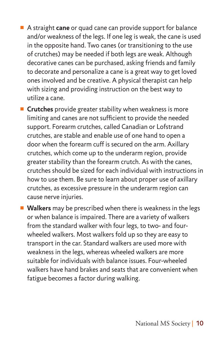■ A straight **cane** or quad cane can provide support for balance and/or weakness of the legs. If one leg is weak, the cane is used in the opposite hand. Two canes (or transitioning to the use of crutches) may be needed if both legs are weak. Although decorative canes can be purchased, asking friends and family to decorate and personalize a cane is a great way to get loved ones involved and be creative. A physical therapist can help with sizing and providing instruction on the best way to utilize a cane.

**E** Crutches provide greater stability when weakness is more limiting and canes are not sufficient to provide the needed support. Forearm crutches, called Canadian or Lofstrand crutches, are stable and enable use of one hand to open a door when the forearm cuff is secured on the arm. Axillary crutches, which come up to the underarm region, provide greater stability than the forearm crutch. As with the canes, crutches should be sized for each individual with instructions in how to use them. Be sure to learn about proper use of axillary crutches, as excessive pressure in the underarm region can cause nerve injuries.

**Nalkers** may be prescribed when there is weakness in the legs or when balance is impaired. There are a variety of walkers from the standard walker with four legs, to two- and fourwheeled walkers. Most walkers fold up so they are easy to transport in the car. Standard walkers are used more with weakness in the legs, whereas wheeled walkers are more suitable for individuals with balance issues. Four-wheeled walkers have hand brakes and seats that are convenient when fatigue becomes a factor during walking.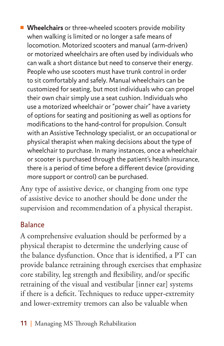**Nheelchairs** or three-wheeled scooters provide mobility when walking is limited or no longer a safe means of locomotion. Motorized scooters and manual (arm-driven) or motorized wheelchairs are often used by individuals who can walk a short distance but need to conserve their energy. People who use scooters must have trunk control in order to sit comfortably and safely. Manual wheelchairs can be customized for seating, but most individuals who can propel their own chair simply use a seat cushion. Individuals who use a motorized wheelchair or "power chair" have a variety of options for seating and positioning as well as options for modifications to the hand-control for propulsion. Consult with an Assistive Technology specialist, or an occupational or physical therapist when making decisions about the type of wheelchair to purchase. In many instances, once a wheelchair or scooter is purchased through the patient's health insurance, there is a period of time before a different device (providing more support or control) can be purchased.

Any type of assistive device, or changing from one type of assistive device to another should be done under the supervision and recommendation of a physical therapist.

### Balance

A comprehensive evaluation should be performed by a physical therapist to determine the underlying cause of the balance dysfunction. Once that is identified, a PT can provide balance retraining through exercises that emphasize core stability, leg strength and flexibility, and/or specific retraining of the visual and vestibular [inner ear] systems if there is a deficit. Techniques to reduce upper-extremity and lower-extremity tremors can also be valuable when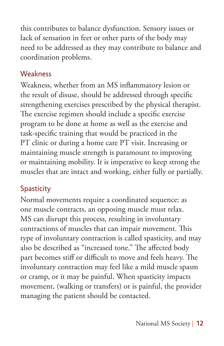this contributes to balance dysfunction. Sensory issues or lack of sensation in feet or other parts of the body may need to be addressed as they may contribute to balance and coordination problems.

#### **Weakness**

Weakness, whether from an MS inflammatory lesion or the result of disuse, should be addressed through specific strengthening exercises prescribed by the physical therapist. The exercise regimen should include a specific exercise program to be done at home as well as the exercise and task-specific training that would be practiced in the PT clinic or during a home care PT visit. Increasing or maintaining muscle strength is paramount to improving or maintaining mobility. It is imperative to keep strong the muscles that are intact and working, either fully or partially.

### **Spasticity**

Normal movements require a coordinated sequence: as one muscle contracts, an opposing muscle must relax. MS can disrupt this process, resulting in involuntary contractions of muscles that can impair movement. This type of involuntary contraction is called spasticity, and may also be described as "increased tone." The affected body part becomes stiff or difficult to move and feels heavy. The involuntary contraction may feel like a mild muscle spasm or cramp, or it may be painful. When spasticity impacts movement, (walking or transfers) or is painful, the provider managing the patient should be contacted.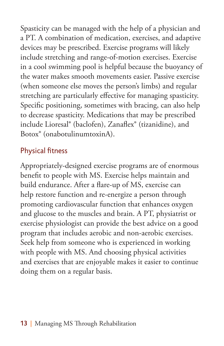Spasticity can be managed with the help of a physician and a PT. A combination of medication, exercises, and adaptive devices may be prescribed. Exercise programs will likely include stretching and range-of-motion exercises. Exercise in a cool swimming pool is helpful because the buoyancy of the water makes smooth movements easier. Passive exercise (when someone else moves the person's limbs) and regular stretching are particularly effective for managing spasticity. Specific positioning, sometimes with bracing, can also help to decrease spasticity. Medications that may be prescribed include Lioresal® (baclofen), Zanaflex® (tizanidine), and Botox® (onabotulinumtoxinA).

#### Physical fitness

Appropriately-designed exercise programs are of enormous benefit to people with MS. Exercise helps maintain and build endurance. After a flare-up of MS, exercise can help restore function and re-energize a person through promoting cardiovascular function that enhances oxygen and glucose to the muscles and brain. A PT, physiatrist or exercise physiologist can provide the best advice on a good program that includes aerobic and non-aerobic exercises. Seek help from someone who is experienced in working with people with MS. And choosing physical activities and exercises that are enjoyable makes it easier to continue doing them on a regular basis.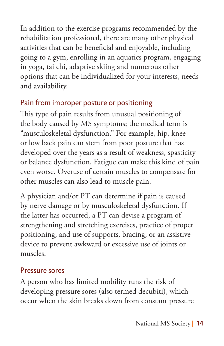In addition to the exercise programs recommended by the rehabilitation professional, there are many other physical activities that can be beneficial and enjoyable, including going to a gym, enrolling in an aquatics program, engaging in yoga, tai chi, adaptive skiing and numerous other options that can be individualized for your interests, needs and availability.

#### Pain from improper posture or positioning

This type of pain results from unusual positioning of the body caused by MS symptoms; the medical term is "musculoskeletal dysfunction." For example, hip, knee or low back pain can stem from poor posture that has developed over the years as a result of weakness, spasticity or balance dysfunction. Fatigue can make this kind of pain even worse. Overuse of certain muscles to compensate for other muscles can also lead to muscle pain.

A physician and/or PT can determine if pain is caused by nerve damage or by musculoskeletal dysfunction. If the latter has occurred, a PT can devise a program of strengthening and stretching exercises, practice of proper positioning, and use of supports, bracing, or an assistive device to prevent awkward or excessive use of joints or muscles.

#### Pressure sores

A person who has limited mobility runs the risk of developing pressure sores (also termed decubiti), which occur when the skin breaks down from constant pressure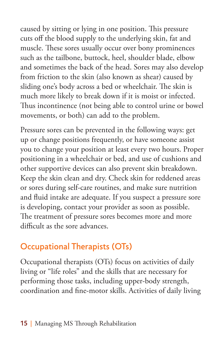caused by sitting or lying in one position. This pressure cuts off the blood supply to the underlying skin, fat and muscle. These sores usually occur over bony prominences such as the tailbone, buttock, heel, shoulder blade, elbow and sometimes the back of the head. Sores may also develop from friction to the skin (also known as shear) caused by sliding one's body across a bed or wheelchair. The skin is much more likely to break down if it is moist or infected. Thus incontinence (not being able to control urine or bowel movements, or both) can add to the problem.

Pressure sores can be prevented in the following ways: get up or change positions frequently, or have someone assist you to change your position at least every two hours. Proper positioning in a wheelchair or bed, and use of cushions and other supportive devices can also prevent skin breakdown. Keep the skin clean and dry. Check skin for reddened areas or sores during self-care routines, and make sure nutrition and fluid intake are adequate. If you suspect a pressure sore is developing, contact your provider as soon as possible. The treatment of pressure sores becomes more and more difficult as the sore advances.

## Occupational Therapists (OTs)

Occupational therapists (OTs) focus on activities of daily living or "life roles" and the skills that are necessary for performing those tasks, including upper-body strength, coordination and fine-motor skills. Activities of daily living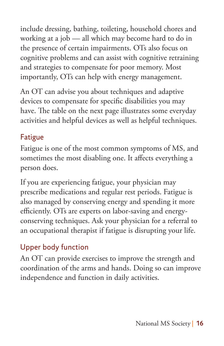include dressing, bathing, toileting, household chores and working at a job — all which may become hard to do in the presence of certain impairments. OTs also focus on cognitive problems and can assist with cognitive retraining and strategies to compensate for poor memory. Most importantly, OTs can help with energy management.

An OT can advise you about techniques and adaptive devices to compensate for specific disabilities you may have. The table on the next page illustrates some everyday activities and helpful devices as well as helpful techniques.

## Fatigue

Fatigue is one of the most common symptoms of MS, and sometimes the most disabling one. It affects everything a person does.

If you are experiencing fatigue, your physician may prescribe medications and regular rest periods. Fatigue is also managed by conserving energy and spending it more efficiently. OTs are experts on labor-saving and energyconserving techniques. Ask your physician for a referral to an occupational therapist if fatigue is disrupting your life.

### Upper body function

An OT can provide exercises to improve the strength and coordination of the arms and hands. Doing so can improve independence and function in daily activities.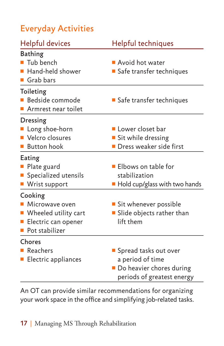# Everyday Activities

| Helpful devices                                                                                              | <b>Helpful techniques</b>                                                                             |
|--------------------------------------------------------------------------------------------------------------|-------------------------------------------------------------------------------------------------------|
| <b>Bathing</b><br>Tub bench<br>■ Hand-held shower<br>Grab bars                                               | Avoid hot water<br>Safe transfer techniques                                                           |
| Toileting<br><b>Bedside commode</b><br>$\blacksquare$ Armrest near toilet                                    | Safe transfer techniques                                                                              |
| <b>Dressing</b><br>Long shoe-horn<br>■ Velcro closures<br><b>Button hook</b>                                 | Lower closet bar<br>Sit while dressing<br><b>Dress weaker side first</b>                              |
| Eating<br>Plate guard<br>Specialized utensils<br>■ Wrist support                                             | ■ Elbows on table for<br>stabilization<br>$\blacksquare$ Hold cup/glass with two hands                |
| Cooking<br>• Microwave oven<br>■ Wheeled utility cart<br><b>Electric can opener</b><br><b>Pot stabilizer</b> | ■ Sit whenever possible<br>Slide objects rather than<br>lift them                                     |
| Chores<br><b>Reachers</b><br><b>Electric appliances</b>                                                      | ■ Spread tasks out over<br>a period of time<br>Do heavier chores during<br>periods of greatest energy |

An OT can provide similar recommendations for organizing your work space in the office and simplifying job-related tasks.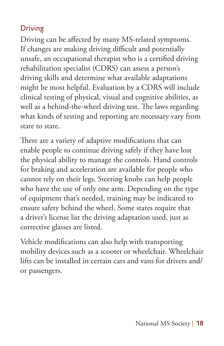#### Driving

Driving can be affected by many MS-related symptoms. If changes are making driving difficult and potentially unsafe, an occupational therapist who is a certified driving rehabilitation specialist (CDRS) can assess a person's driving skills and determine what available adaptations might be most helpful. Evaluation by a CDRS will include clinical testing of physical, visual and cognitive abilities, as well as a behind-the-wheel driving test. The laws regarding what kinds of testing and reporting are necessary vary from state to state.

There are a variety of adaptive modifications that can enable people to continue driving safely if they have lost the physical ability to manage the controls. Hand controls for braking and acceleration are available for people who cannot rely on their legs. Steering knobs can help people who have the use of only one arm. Depending on the type of equipment that's needed, training may be indicated to ensure safety behind the wheel. Some states require that a driver's license list the driving adaptation used, just as corrective glasses are listed.

Vehicle modifications can also help with transporting mobility devices such as a scooter or wheelchair. Wheelchair lifts can be installed in certain cars and vans for drivers and/ or passengers.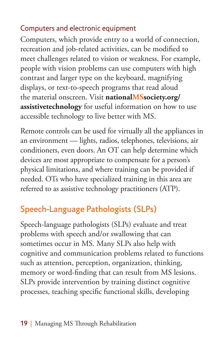#### Computers and electronic equipment

Computers, which provide entry to a world of connection, recreation and job-related activities, can be modified to meet challenges related to vision or weakness. For example, people with vision problems can use computers with high contrast and larger type on the keyboard, magnifying displays, or text-to-speech programs that read aloud the material onscreen. Visit **nationalMSsociety.org/ assistivetechnology** for useful information on how to use accessible technology to live better with MS.

Remote controls can be used for virtually all the appliances in an environment — lights, radios, telephones, televisions, air conditioners, even doors. An OT can help determine which devices are most appropriate to compensate for a person's physical limitations, and where training can be provided if needed. OTs who have specialized training in this area are referred to as assistive technology practitioners (ATP).

# Speech-Language Pathologists (SLPs)

Speech-language pathologists (SLPs) evaluate and treat problems with speech and/or swallowing that can sometimes occur in MS. Many SLPs also help with cognitive and communication problems related to functions such as attention, perception, organization, thinking, memory or word-finding that can result from MS lesions. SLPs provide intervention by training distinct cognitive processes, teaching specific functional skills, developing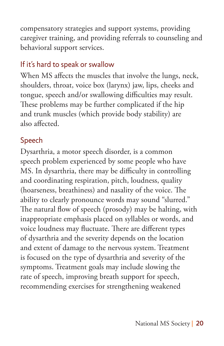compensatory strategies and support systems, providing caregiver training, and providing referrals to counseling and behavioral support services.

### If it's hard to speak or swallow

When MS affects the muscles that involve the lungs, neck, shoulders, throat, voice box (larynx) jaw, lips, cheeks and tongue, speech and/or swallowing difficulties may result. These problems may be further complicated if the hip and trunk muscles (which provide body stability) are also affected.

#### Speech

Dysarthria, a motor speech disorder, is a common speech problem experienced by some people who have MS. In dysarthria, there may be difficulty in controlling and coordinating respiration, pitch, loudness, quality (hoarseness, breathiness) and nasality of the voice. The ability to clearly pronounce words may sound "slurred." The natural flow of speech (prosody) may be halting, with inappropriate emphasis placed on syllables or words, and voice loudness may fluctuate. There are different types of dysarthria and the severity depends on the location and extent of damage to the nervous system. Treatment is focused on the type of dysarthria and severity of the symptoms. Treatment goals may include slowing the rate of speech, improving breath support for speech, recommending exercises for strengthening weakened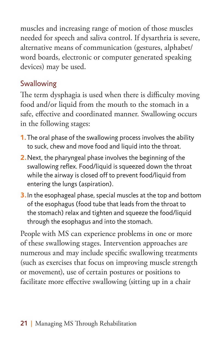muscles and increasing range of motion of those muscles needed for speech and saliva control. If dysarthria is severe, alternative means of communication (gestures, alphabet/ word boards, electronic or computer generated speaking devices) may be used.

### Swallowing

The term dysphagia is used when there is difficulty moving food and/or liquid from the mouth to the stomach in a safe, effective and coordinated manner. Swallowing occurs in the following stages:

- **1.**The oral phase of the swallowing process involves the ability to suck, chew and move food and liquid into the throat.
- **2.**Next, the pharyngeal phase involves the beginning of the swallowing reflex. Food/liquid is squeezed down the throat while the airway is closed off to prevent food/liquid from entering the lungs (aspiration).
- **3.**In the esophageal phase, special muscles at the top and bottom of the esophagus (food tube that leads from the throat to the stomach) relax and tighten and squeeze the food/liquid through the esophagus and into the stomach.

People with MS can experience problems in one or more of these swallowing stages. Intervention approaches are numerous and may include specific swallowing treatments (such as exercises that focus on improving muscle strength or movement), use of certain postures or positions to facilitate more effective swallowing (sitting up in a chair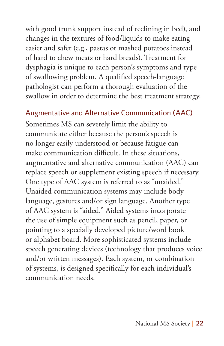with good trunk support instead of reclining in bed), and changes in the textures of food/liquids to make eating easier and safer (e.g., pastas or mashed potatoes instead of hard to chew meats or hard breads). Treatment for dysphagia is unique to each person's symptoms and type of swallowing problem. A qualified speech-language pathologist can perform a thorough evaluation of the swallow in order to determine the best treatment strategy.

#### Augmentative and Alternative Communication (AAC)

Sometimes MS can severely limit the ability to communicate either because the person's speech is no longer easily understood or because fatigue can make communication difficult. In these situations, augmentative and alternative communication (AAC) can replace speech or supplement existing speech if necessary. One type of AAC system is referred to as "unaided." Unaided communication systems may include body language, gestures and/or sign language. Another type of AAC system is "aided." Aided systems incorporate the use of simple equipment such as pencil, paper, or pointing to a specially developed picture/word book or alphabet board. More sophisticated systems include speech generating devices (technology that produces voice and/or written messages). Each system, or combination of systems, is designed specifically for each individual's communication needs.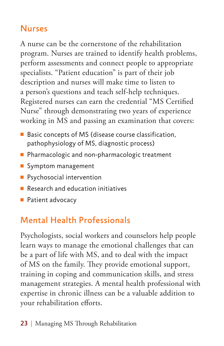## Nurses

A nurse can be the cornerstone of the rehabilitation program. Nurses are trained to identify health problems, perform assessments and connect people to appropriate specialists. "Patient education" is part of their job description and nurses will make time to listen to a person's questions and teach self-help techniques. Registered nurses can earn the credential "MS Certified Nurse" through demonstrating two years of experience working in MS and passing an examination that covers:

- $\blacksquare$  Basic concepts of MS (disease course classification, pathophysiology of MS, diagnostic process)
- **Pharmacologic and non-pharmacologic treatment**
- Symptom management
- $\blacksquare$  Psychosocial intervention
- $\blacksquare$  Research and education initiatives
- $\blacksquare$  Patient advocacy

# Mental Health Professionals

Psychologists, social workers and counselors help people learn ways to manage the emotional challenges that can be a part of life with MS, and to deal with the impact of MS on the family. They provide emotional support, training in coping and communication skills, and stress management strategies. A mental health professional with expertise in chronic illness can be a valuable addition to your rehabilitation efforts.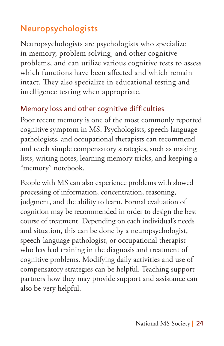# Neuropsychologists

Neuropsychologists are psychologists who specialize in memory, problem solving, and other cognitive problems, and can utilize various cognitive tests to assess which functions have been affected and which remain intact. They also specialize in educational testing and intelligence testing when appropriate.

#### Memory loss and other cognitive difficulties

Poor recent memory is one of the most commonly reported cognitive symptom in MS. Psychologists, speech-language pathologists, and occupational therapists can recommend and teach simple compensatory strategies, such as making lists, writing notes, learning memory tricks, and keeping a "memory" notebook.

People with MS can also experience problems with slowed processing of information, concentration, reasoning, judgment, and the ability to learn. Formal evaluation of cognition may be recommended in order to design the best course of treatment. Depending on each individual's needs and situation, this can be done by a neuropsychologist, speech-language pathologist, or occupational therapist who has had training in the diagnosis and treatment of cognitive problems. Modifying daily activities and use of compensatory strategies can be helpful. Teaching support partners how they may provide support and assistance can also be very helpful.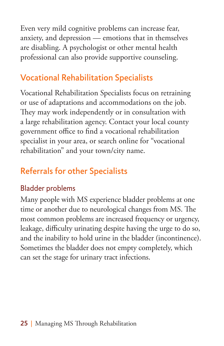Even very mild cognitive problems can increase fear, anxiety, and depression — emotions that in themselves are disabling. A psychologist or other mental health professional can also provide supportive counseling.

## Vocational Rehabilitation Specialists

Vocational Rehabilitation Specialists focus on retraining or use of adaptations and accommodations on the job. They may work independently or in consultation with a large rehabilitation agency. Contact your local county government office to find a vocational rehabilitation specialist in your area, or search online for "vocational rehabilitation" and your town/city name.

# Referrals for other Specialists

### Bladder problems

Many people with MS experience bladder problems at one time or another due to neurological changes from MS. The most common problems are increased frequency or urgency, leakage, difficulty urinating despite having the urge to do so, and the inability to hold urine in the bladder (incontinence). Sometimes the bladder does not empty completely, which can set the stage for urinary tract infections.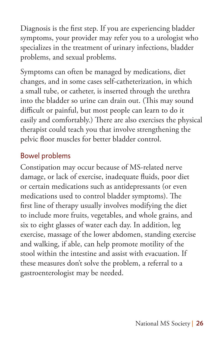Diagnosis is the first step. If you are experiencing bladder symptoms, your provider may refer you to a urologist who specializes in the treatment of urinary infections, bladder problems, and sexual problems.

Symptoms can often be managed by medications, diet changes, and in some cases self-catheterization, in which a small tube, or catheter, is inserted through the urethra into the bladder so urine can drain out. (This may sound difficult or painful, but most people can learn to do it easily and comfortably.) There are also exercises the physical therapist could teach you that involve strengthening the pelvic floor muscles for better bladder control.

#### Bowel problems

Constipation may occur because of MS-related nerve damage, or lack of exercise, inadequate fluids, poor diet or certain medications such as antidepressants (or even medications used to control bladder symptoms). The first line of therapy usually involves modifying the diet to include more fruits, vegetables, and whole grains, and six to eight glasses of water each day. In addition, leg exercise, massage of the lower abdomen, standing exercise and walking, if able, can help promote motility of the stool within the intestine and assist with evacuation. If these measures don't solve the problem, a referral to a gastroenterologist may be needed.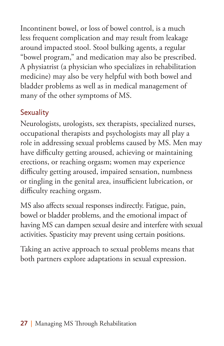Incontinent bowel, or loss of bowel control, is a much less frequent complication and may result from leakage around impacted stool. Stool bulking agents, a regular "bowel program," and medication may also be prescribed. A physiatrist (a physician who specializes in rehabilitation medicine) may also be very helpful with both bowel and bladder problems as well as in medical management of many of the other symptoms of MS.

## **Sexuality**

Neurologists, urologists, sex therapists, specialized nurses, occupational therapists and psychologists may all play a role in addressing sexual problems caused by MS. Men may have difficulty getting aroused, achieving or maintaining erections, or reaching orgasm; women may experience difficulty getting aroused, impaired sensation, numbness or tingling in the genital area, insufficient lubrication, or difficulty reaching orgasm.

MS also affects sexual responses indirectly. Fatigue, pain, bowel or bladder problems, and the emotional impact of having MS can dampen sexual desire and interfere with sexual activities. Spasticity may prevent using certain positions.

Taking an active approach to sexual problems means that both partners explore adaptations in sexual expression.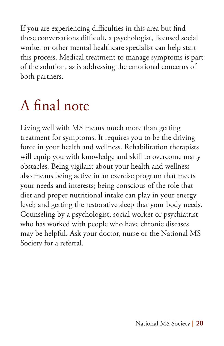If you are experiencing difficulties in this area but find these conversations difficult, a psychologist, licensed social worker or other mental healthcare specialist can help start this process. Medical treatment to manage symptoms is part of the solution, as is addressing the emotional concerns of both partners.

# A final note

Living well with MS means much more than getting treatment for symptoms. It requires you to be the driving force in your health and wellness. Rehabilitation therapists will equip you with knowledge and skill to overcome many obstacles. Being vigilant about your health and wellness also means being active in an exercise program that meets your needs and interests; being conscious of the role that diet and proper nutritional intake can play in your energy level; and getting the restorative sleep that your body needs. Counseling by a psychologist, social worker or psychiatrist who has worked with people who have chronic diseases may be helpful. Ask your doctor, nurse or the National MS Society for a referral.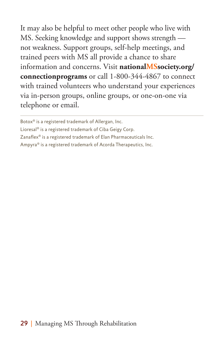It may also be helpful to meet other people who live with MS. Seeking knowledge and support shows strength not weakness. Support groups, self-help meetings, and trained peers with MS all provide a chance to share information and concerns. Visit **nationalMSsociety.org/ connectionprograms** or call 1-800-344-4867 to connect with trained volunteers who understand your experiences via in-person groups, online groups, or one-on-one via telephone or email.

Lioresal® is a registered trademark of Ciba Geigy Corp.

Zanaflex® is a registered trademark of Elan Pharmaceuticals Inc.

Ampyra® is a registered trademark of Acorda Therapeutics, Inc.

Botox® is a registered trademark of Allergan, Inc.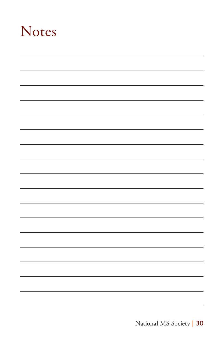# Notes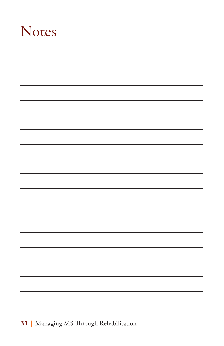# Notes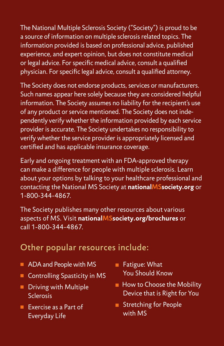The National Multiple Sclerosis Society ("Society") is proud to be a source of information on multiple sclerosis related topics. The information provided is based on professional advice, published experience, and expert opinion, but does not constitute medical or legal advice. For specific medical advice, consult a qualified physician. For specific legal advice, consult a qualified attorney.

The Society does not endorse products, services or manufacturers. Such names appear here solely because they are considered helpful information. The Society assumes no liability for the recipient's use of any product or service mentioned. The Society does not independently verify whether the information provided by each service provider is accurate. The Society undertakes no responsibility to verify whether the service provider is appropriately licensed and certified and has applicable insurance coverage.

Early and ongoing treatment with an FDA-approved therapy can make a difference for people with multiple sclerosis. Learn about your options by talking to your healthcare professional and contacting the National MS Society at **nationalMSsociety.org** or 1-800-344-4867.

The Society publishes many other resources about various aspects of MS. Visit **nationalMSsociety.org/brochures** or call 1-800-344-4867.

### Other popular resources include:

- ADA and People with MS
- Controlling Spasticity in MS
- $\blacksquare$  Driving with Multiple Sclerosis
- $\blacksquare$  Exercise as a Part of Everyday Life
- Fatigue: What You Should Know
- $\blacksquare$  How to Choose the Mobility Device that is Right for You
- Stretching for People with MS